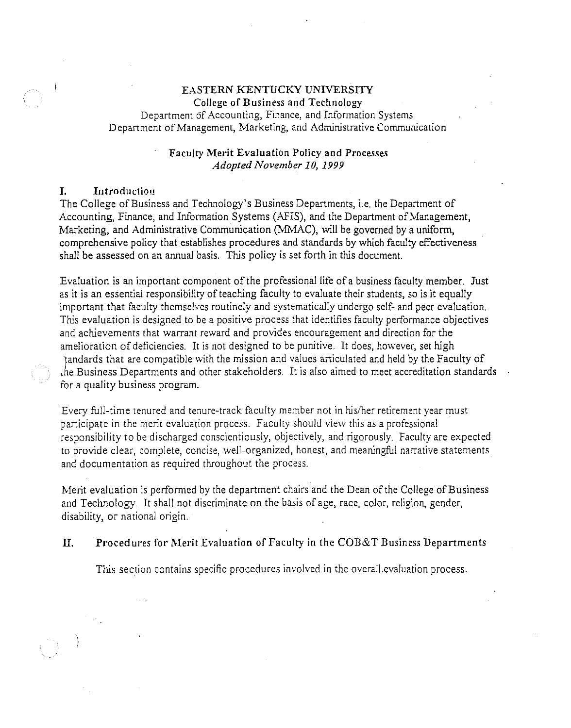# EASTERN KENTUCKY UNIVERSITY College of Business and Technology

Department of Accounting, Finance, and Information Systems Department of Management, Marketing, and Administrative Communication

# Faculty Merit Evaluation Policy and Processes *Adopted November 10, 1999*

# I. Introduction

The College of Business and Technology's Business Departments, i.e. the Department of Accounting, Finance, and Information Systems (AFIS), and the Department of Management, Marketing, and Administrative Communication (MMAC), will be governed by a uniform, comprehensive policy that establishes procedures and standards by which faculty effectiveness shall be assessed on an annual basis. This policy is set forth in this document.

Evaluation is an important component of the professional life of a business faculty member. Just as it is an essential responsibility of teaching faculty to evaluate their students, so is it equally important that faculty themselves routinely and systematically undergo self- and peer evaluation. This evaluation is designed to be a positive process that identifies faculty performance objectives and achievements that warrant reward and provides encouragement and direction for the amelioration of deficiencies. It is not designed to be punitive. It does, however, set high it tandards that are compatible with the mission and values articulated and held by the Faculty of ,he Business Departments and other stakeholders. It is also aimed to meet accreditation standards for a quality business program.

Every full-time tenured and tenure-track faculty member not in his/her retirement year must participate in the merit evaluation process. Faculty should view this as a professional responsibility to be discharged conscientiously, objectively, and rigorously. Faculty are expected to provide clear, complete, concise, well-organized, honest, and meaningful narrative statements. and documentation as required throughout the process.

Merit evaluation is performed by the department chairs and the Dean of the College of Business and Technology. It shall not discriminate on the basis of age, race, color, religion, gender, disability, or national origin.

# II. Procedures for Merit Evaluation of Faculty in the COB&T Business Departments

This section contains specific procedures involved in the overall evaluation process.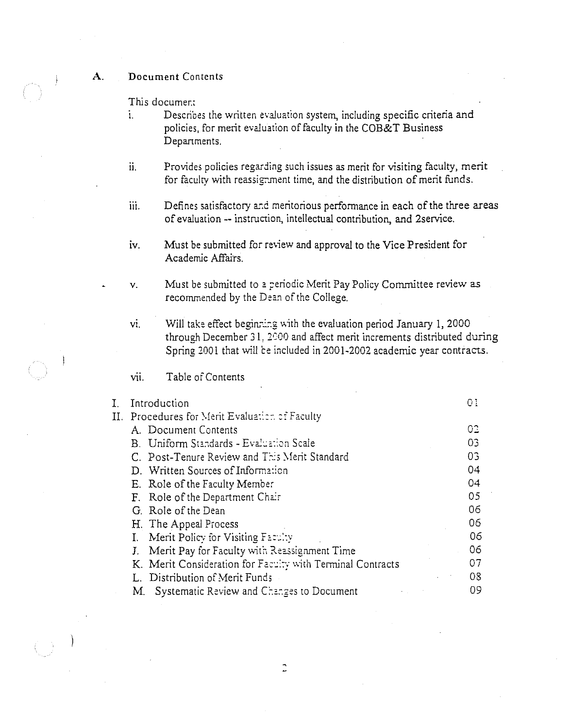# A. Document Contents

This documer.:

- i. Describes the written evaluation system, including specific criteria and policies, for merit evaluation of faculty in the COB&T Business Depanments.
- ii. Provides policies regarding such issues as merit for visiting faculty, merit for faculty with reassignment time, and the distribution of merit funds.
- iii. Defines satisfactory and meritorious performance in each of the three areas of evaluation -- instruction, intellectual contribution, and 2service.
- iv. Must be submitted for review and approval to the Vice President for Academic Affairs.
- v. Must be submitted to a periodic Merit Pay Policy Committee review as recommended by the Dean of the College.
- vi. Will take effect beginning with the evaluation period January 1, 2000 through December 31, 2000 and affect merit increments distributed during Spring 2001 that will ce included in 2001-2002 academic year contracts.

vii. Table of Contents

| Introduction<br>I.                                         |    |  |  |
|------------------------------------------------------------|----|--|--|
| II. Procedures for Merit Evaluation of Faculty             |    |  |  |
| A. Document Contents                                       | O2 |  |  |
| B. Uniform Standards - Evaluation Scale                    | 03 |  |  |
| C. Post-Tenure Review and This Merit Standard              | 03 |  |  |
| D. Written Sources of Information                          | 04 |  |  |
| E. Role of the Faculty Member                              | 04 |  |  |
| F. Role of the Department Chair                            | 05 |  |  |
| G. Role of the Dean                                        | 06 |  |  |
| H. The Appeal Process                                      | 06 |  |  |
| Merit Policy for Visiting Faculty<br>Ι.                    | 06 |  |  |
| J. Merit Pay for Faculty with Reassignment Time            | 06 |  |  |
| K. Merit Consideration for Faculty with Terminal Contracts | 07 |  |  |
| L. Distribution of Merit Funds                             | 08 |  |  |
| Systematic Review and Changes to Document<br>M.            | 09 |  |  |
|                                                            |    |  |  |

 $\mathbb{C}$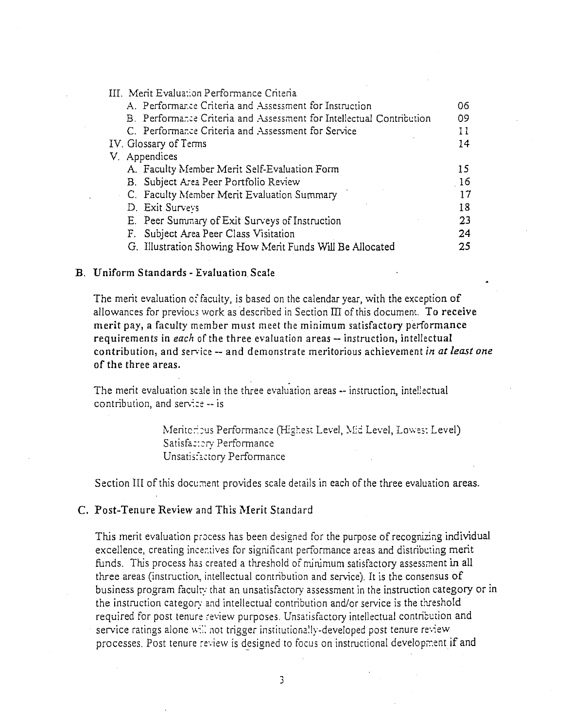| III. Merit Evaluation Performance Criteria                           |     |
|----------------------------------------------------------------------|-----|
| A. Performance Criteria and Assessment for Instruction               | 06  |
| B. Performance Criteria and Assessment for Intellectual Contribution | 09  |
| C. Performance Criteria and Assessment for Service                   | 11  |
| IV. Glossary of Terms                                                | 14  |
| V. Appendices                                                        |     |
| A. Faculty Member Merit Self-Evaluation Form                         | 15  |
| B. Subject Area Peer Portfolio Review                                | -16 |
| C. Faculty Member Merit Evaluation Summary                           | 17  |
| D. Exit Surveys                                                      | 13  |
| E. Peer Summary of Exit Surveys of Instruction                       | 23  |
| F. Subject Area Peer Class Visitation                                | 24  |
| G. Illustration Showing How Merit Funds Will Be Allocated            | 25  |

## B. Uniform Standards - Evaluation Scale

The merit evaluation of faculty, is based on the calendar year, with the exception of allowances for previocs work as described in Section III of this document. To receive merit pay, a faculty member must meet the minimum satisfactory performance requirements in *each* of the three evaluation areas -- instruction, intellectual contribution, and service -- and demonstrate meritorious achievement *in at least one*  **of the three areas.** 

The merit evaluation scale in the three evaluation areas -- instruction, inteliectual contribution, and service  $-$  is

> Meritcribus Performance (Highest Level, Mid Level, Lowes; Level) Satisfa:::ry Performance Unsatisfactory Performance

Section III of this document provides scale details in each of the three evaluation areas.

# C. Post-Tenure Review and This Merit Standard

This merit evaluation process has been designed for the purpose of recognizing individual excellence, creating incentives for significant performance areas and distributing merit funds. This process has created a threshold of minimum satisfactory assessment in all three areas (instruction, intellectual contribution and service). It is the consensus of business program faculty that an unsatisfactory assessment in the instruction category or in the instruction category and intellectual contribution and/or service is the threshold required for post tenure review purposes. Unsatisfactory intellectual contribution and service ratings alone will not trigger institutionally-developed post tenure review. processes. Post tenure review is designed to focus on instructional development if and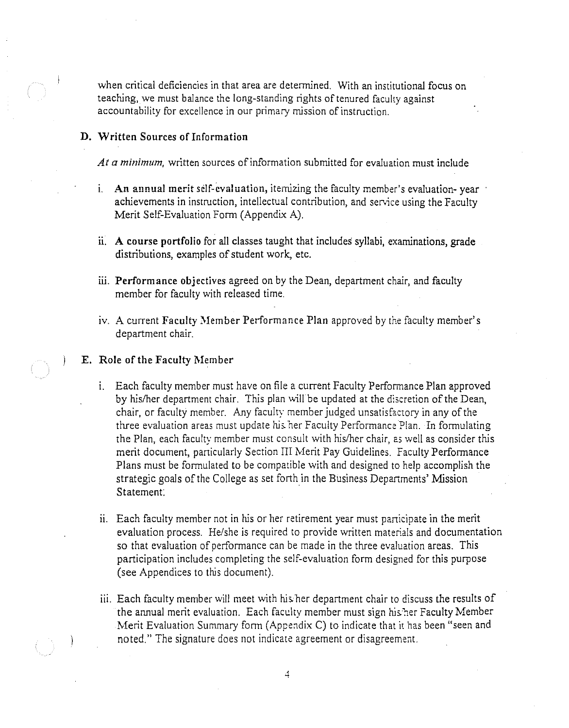when critical deficiencies in that area are determined. With an institutional focus on teaching, we must balance the long-standing rights of tenured faculty against accountability for excellence in our primary mission of instruction.

# **D. Written** Sources of Information

*At a minimum,* written sources of information submitted for evaluation must include

- 1. An annual merit self-evaluation, itemizing the faculty member's evaluation-year achievements in instruction, intellectual contribution, and service using the Faculty Merit Self-Evaluation Form (Appendix A).
- ii. A course portfolio for all classes taught that includes syllabi, examinations, grade distributions, examples of student work, etc.
- iii. Performance objectives agreed on by the Dean, department chair, and faculty member for faculty with released time.
- iv. A current Faculty Member Performance Plan approved by the faculty member's department chair.

#### E. Role of the Faculty Member

- 1. Each faculty member must have on file a current Faculty Performance Plan approved by his/her department chair. This plan will be updated at the discretion of the Dean, chair, or faculty member. Any faculty member judged unsatisfactory in any of the three evaluation areas must update his. her Faculty Performance Plan. In formulating the Plan, each faculty member must consult with his/her chair, as well as consider this merit document, particularly Section III Merit Pay Guidelines. Faculty Performance Plans must be formulated to be compatible with and designed to help accomplish the strategic goals of the College as set forth in the Business Departments' Mission Statement:
- ii. Each faculty member not in his or her retirement year must participate in the merit evaluation process. He/she is required to provide written materials and documentation so that evaluation of performance can be made in the three evaluation areas. This participation includes completing the self-evaluation form designed for this purpose (see Appendices to this document).
- iii. Each faculty member will meet with his her department chair to discuss the results of the annual merit evaluation. Each faculty member must sign his.'her Faculty Member Merit Evaluation Summary form (Appendix C) to indicate that it has been "seen and noted." The signature does not indicate agreement or disagreement.

 $\overline{4}$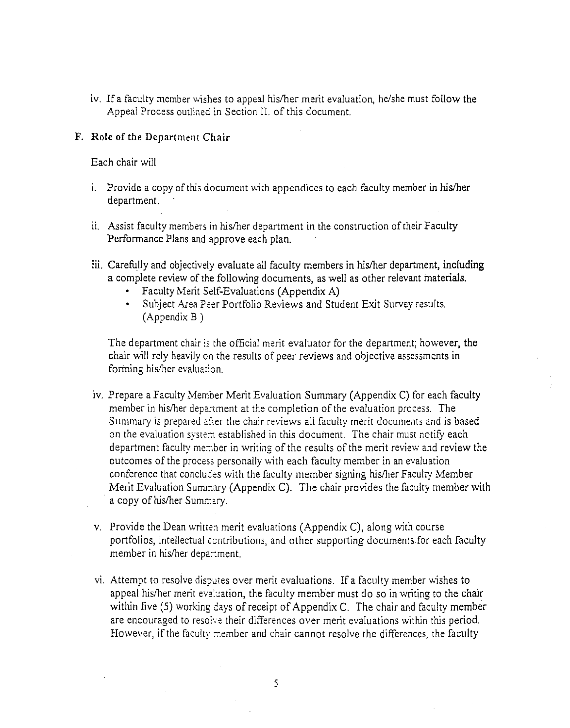iv. If a faculty member wishes to appeal his/her merit evaluation, he/she must follow the Appeal Process outlined in Section II. of this document.

# **F. Role** of the Department **Chair**

Each chair will

- i. Provide a copy of this document with appendices to each faculty member in his/her department.
- ii. Assist faculty members in his/her department in the construction of their Faculty Performance Plans and approve each plan.
- iii. Carefully and objectively evaluate all faculty members in his/her department, **including**  a complete review of the following documents, as well as other relevant materials.
	- Faculty Merit Self-Evaluations (Appendix A)
	- Subject Area Peer Portfolio Reviews and Student Exit Survey results. (Appendix B )

The department chair ;s the official merit evaluator for the department; however, the chair will rely heavily on the results of peer reviews and objective assessments in forming his/her evaluation.

- iv. Prepare a Faculty Member Merit Evaluation Summary (Appendix C) for each faculty member in his/her department at the completion of the evaluation process. The Summary is prepared after the chair reviews all faculty merit documents and is based on the evaluation system established in this document. The chair must notify each department faculty member in writing of the results of the merit review and review the outcomes of the process personally with each faculty member in an evaluation conference that concludes with the faculty member signing his/her Faculty Member Merit Evaluation Summary (Appendix C). The chair provides the faculty member with a copy of his/her Summary.
- v. Provide the Dean written merit evaluations (Appendix C), along with course portfolios, intellectual contributions, and other supporting documents for each faculty member in his/her department.
- vi. Attempt to resolve disputes over merit evaluations. If a faculty member wishes to appeal his/her merit evaluation, the faculty member must do so in writing to the chair within five  $(5)$  working days of receipt of Appendix C. The chair and faculty member are encouraged to resolve their differences over merit evaluations within this period. However, if the faculty member and chair cannot resolve the differences, the faculty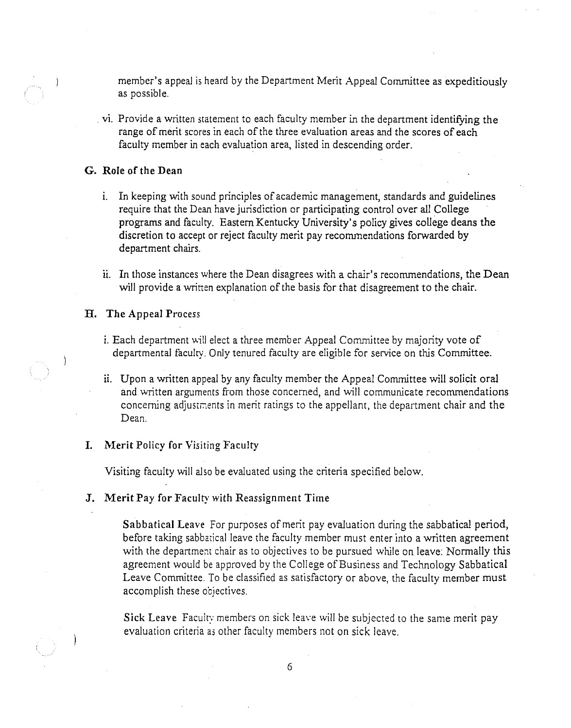member's appeal is heard by the Department Merit Appeal Committee as expeditiously as possible.

**vi.** Provide a written statement to each faculty member in the department identifying the range of merit scores in each of the three evaluation areas and the scores of each faculty member in each evaluation area, listed in descending order.

### **G. Role of the Dean**

- i. In keeping with sound principles of academic management, standards and guidelines require that the Dean have jurisdiction or participating control over all College programs and faculty. Eastern Kentucky University's policy gives college deans the discretion to accept or reject faculty merit pay recommendations forwarded by department chairs.
- ii. In those instances where the Dean disagrees with a chair's recommendations, the Dean will provide a written explanation of the basis for that disagreement to the chair.

#### **H. The** Appeal Process

- i. Each department will elect a three member Appeal Committee by majority vote of departmental faculty. Only tenured faculty are eligible for service on this Committee.
- ii. Upon a written appeal by any faculty member the Appeal Committee will solicit oral and written arguments from those concerned, and will communicate recommendations concerning adjustments in merit ratings to the appellant, the department chair and the Dean.

### I. Merit Policy for Visiting Faculty

Visiting faculty will also be evaluated using the criteria specified below.

#### **J.** Merit Pay for Faculty with Reassignment Time

Sabbatical Leave For purposes of merit pay evaluation during the sabbatical period, before taking sabbatical leave the faculty member must enter into a written agreement with the department chair as to objectives to be pursued while on leave: Normally this agreement would be approved by the College of Business and Technology Sabbatical Leave Committee. To be classified as satisfactory or above, the faculty member must accomplish these oojectives.

Sick Leave Faculty members on sick leave will be subjected to the same merit pay evaluation criteria as other faculty members not on sick leave.

6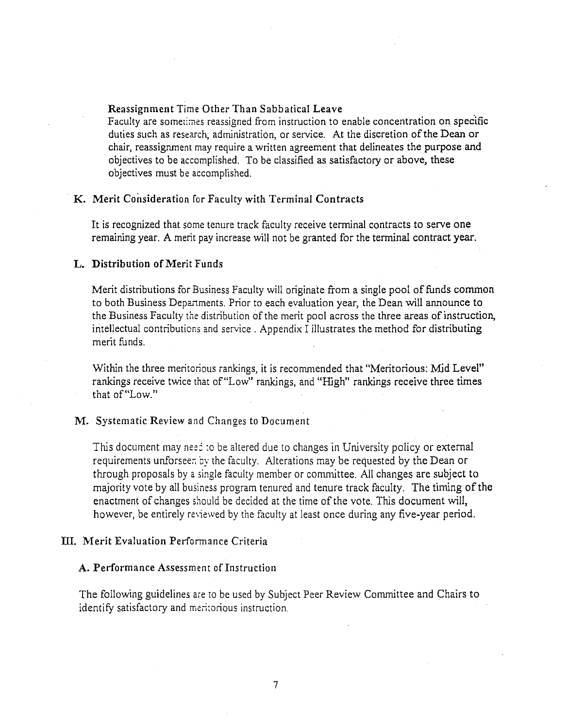## Reassignment Time Other Than Sabbatical Leave

Faculty are sometimes reassigned from instruction to enable concentration on specific duties such as research, administration, or service. At the discretion of the Dean or chair, reassignment may require a written agreement that delineates the purpose and objectives to be accomplished. To be classified as satisfactory or above, these objectives must be accomplished.

# K. Merit Consideration for Faculty with Terminal Contracts

It is recognized that some tenure track faculty receive terminal contracts to serve one remaining year. A merit pay increase will not be granted for the terminal contract year.

#### L. Distribution of Merit Funds

Merit distributions for Business Faculty will originate from a single pool of funds common to both Business Departments. Prior to each evaluation year, the Dean will announce to the Business Faculty the distribution of the merit pool across the three areas of instruction, intellectual contributions and service . Appendix I illustrates the method for distributing merit funds.

Within the three meritorious rankings, it is recommended that "Meritorious: Mid Level" rankings receive twice that of"Low" rankings, and "High" rankings receive three times that of"Low."

# **M.** Systematic Review and Changes to Document

This document may need to be altered due to changes in University policy or external requirements unforseen by the faculty. Alterations may be requested by the Dean or through proposals by a single faculty member or committee. All changes are subject to majority vote by all business program tenured and tenure track faculty. The timing of the enactment of changes should be decided at the time of the vote. This document will, however, be entirely reviewed by the faculty at least once during any five-year period.

### III. Merit Evaluation Performance Criteria

#### A. Performance Assessment of Instruction

The following guidelines are to be used by Subject Peer Review Committee and Chairs to identify satisfactory and meri:orious instruction.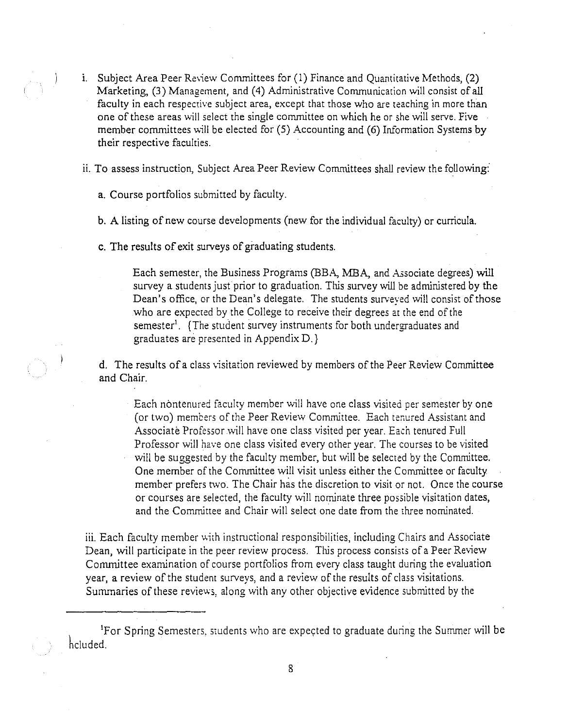i. Subject Area Peer Review Committees for (1) Finance and Quantitative Methods, (2) Marketing, (3) Management, and (4) Administrative Communication will consist of all faculty in each respective subject area, except that those who are teaching in more than one of these areas will select the single committee on which he or she will serve. Five member committees will be elected for  $(5)$  Accounting and  $(6)$  Information Systems by their respective faculties.

ii. To assess instruction, Subject Area Peer Review Committees shall review the following:

a. Course portfolios submitted by faculty.

b. A listing of new course developments (new for the individual faculty) or curricula.

c. The results of exit surveys of graduating students.

Each semester, the Business Programs (BBA, MBA, and Associate degrees) will survey a students just prior to graduation. This survey will be administered by the Dean's office, or the Dean's delegate. The students surveved will consist of those who are expected by the College to receive their degrees at the end of the semester'. {The student survey instruments for both undergraduates and graduates are presented in Appendix D.}

d. The results of a class visitation reviewed by members of the Peer Review Committee and Chair.

Each nontenured faculty member will have one class visited per semester by one (or two) members of the Peer Review Committee. Each tenured Assistant and Associate Professor will have one class visited per year. Each tenured Full Professor will have one class visited every other year. The courses to be visited will be suggested by the faculty member, but will be selected by the Committee. One member of the Committee will visit unless either the Committee or faculty member prefers two. The Chair has the discretion to visit or not. Once the course or courses are selected, the faculty will nominate three possible visitation dates, and the Committee and Chair will select one date from the three nominated.

iii. Each faculty member with instructional responsibilities, including Chairs and Associate Dean, will participate in the peer review process. This process consists of a Peer Review Committee examination of course portfolios from every class taught during the evaluation year, a review of the student surveys, and a review of the results of class visitations. Summaries of these reviews, along with any other objective evidence submitted by the

For Spring Semesters, students who are expected to graduate during the Summer will be hcluded.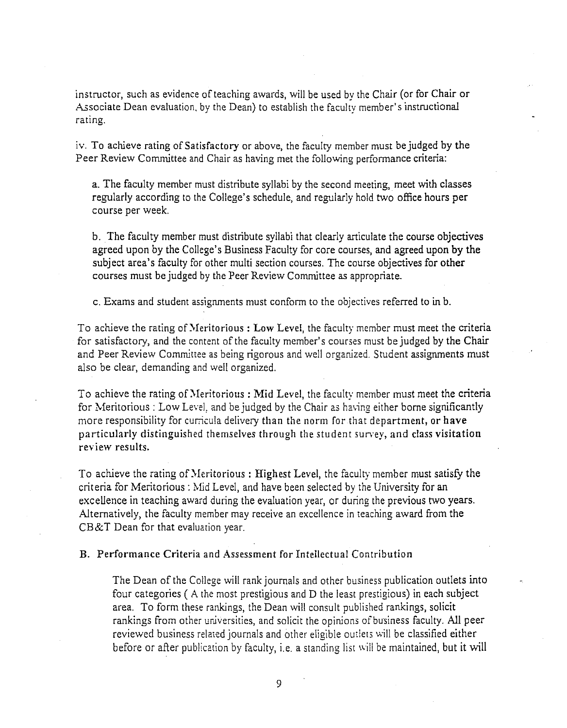instructor, such as evidence of teaching awards, will be used by the Chair (or for Chair or Associate Dean evaluation, by the Dean) to establish the faculty member's instructional rating.

iv. To achieve rating of Satisfactory or above, the faculty member must be judged by the Peer Review Committee and Chair as having met the following performance criteria:

a. The faculty member must distribute syllabi by the second meeting, meet with classes regularly according to the College's schedule, and regularly hold two office hours per course per week.

b. The faculty member must distribute syllabi that clearly articulate the course objectives agreed upon by the College's Business Faculty for core courses, and agreed upon by the subject area's faculty for other multi section courses. The course objectives for other courses must be judged by the Peer Review Committee as appropriate.

c. Exams and student assignments must conform to the objectives referred to in b.

To achieve the rating of Meritorious : Low Level, the faculty member must meet the criteria for satisfactory, and the content of the faculty member's courses must be judged by the Chair and Peer Review Committee as being rigorous and well organized. Student assignments must also be clear, demanding and well organized.

To achieve the rating of Meritorious: Mid Level, the faculty member must meet the criteria for Meritorious : Low Level, and be judged by the Chair as having either borne significantly more responsibility for curricula delivery than the norm for that department, or **have**  particularly distinguished themselves through the student survey, and *class* **visitation**  review results.

To achieve the rating of Meritorious: Highest Level, the faculty member must satisfy the criteria for Meritorious: 11id Level, and have been selected by the University for an excellence in teaching award during the evaluation year, or during the previous two years. Alternatively, the faculty member may receive an excellence in teaching award from the CB&T Dean for that evaluation year.

B. Performance Criteria and Assessment for Intellectual Contribution

The Dean of the College will rank journals and other business publication outlets into four categories ( A the most prestigious and D the least prestigious) in each subject area. To form these rankings, the Dean will consult published rankings, solicit rankings from other universities, and solicit the opinions of business faculty. All peer reviewed business related journals and other eligible outlets will be classified either before or after publication by faculty, i.e. a standing list will be maintained, but it will

9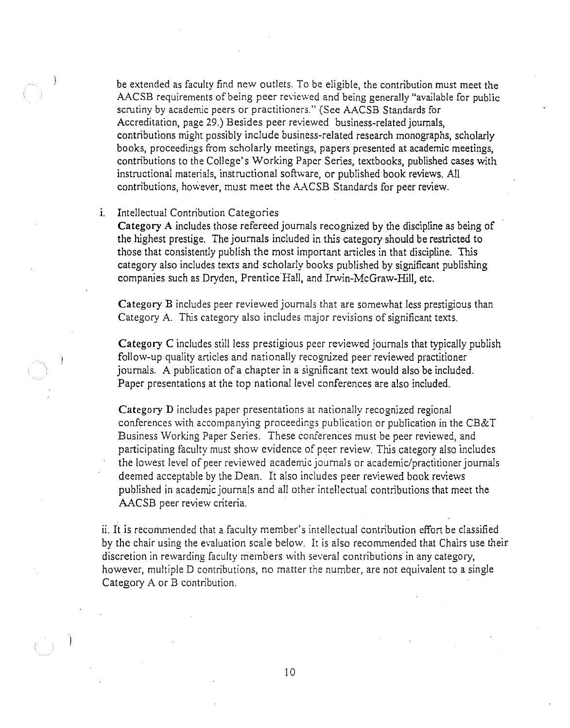be extended as faculty find new outlets. To be eligible, the contribution must meet the AACSB requirements of being peer reviewed and being generally "available for public scrutiny by academic peers or practitioners." (See AACSB Standards for Accreditation, page 29.) Besides peer reviewed business-related journals, contributions might possibly include business-related research monographs, scholarly books, proceedings from scholarly meetings, papers presented at academic meetings, contributions to the College's Working Paper Series, textbooks, published cases with instructional materials, instructional software, or published book reviews. All contributions, however, must meet the AACSB Standards for peer review.

#### i. Intellectual Contribution Categories

**Category A** includes those refereed journals recognized by the discipline as being of the highest prestige. The journals included in this category should be restricted to those that consistently publish the most important articles in that discipline. This category also includes texts and scholarly books published by significant publishing companies such as Dryden, Prentice Hall, and Irwin-McGraw-Hill, etc.

**Category B** includes peer reviewed journals that are somewhat less prestigious than Category A. This category also includes major revisions of significant texts.

**Category C** includes still less prestigious peer reviewed journals that typically publish follow-up quality articles and nationally recognized peer reviewed practitioner journals. A publication of a chapter in a significant text would also be included. Paper presentations at the top national level conferences are also included.

**Category D** includes paper presentations at nationally recognized regional conferences with accompanying proceedings publication or publication in the CB&T Business Working Paper Series. These conferences must be peer reviewed, and participating faculty must show evidence of peer review. This category also includes the lowest level of peer reviewed academic journals or academic/practitioner journals deemed acceptable by the Dean. It also includes peer reviewed book reviews published in academic journals and all other intellectual contributions that meet the AACSB peer review criteria.

ii. It is recommended that a faculty member's intellectual contribution effort be classified by the chair using the evaluation scale below. It is also recommended that Chairs use their discretion in rewarding faculty members with several contributions in any category, however, multiple D contributions, no matter the number, are not equivalent to a single Category A or B contribution.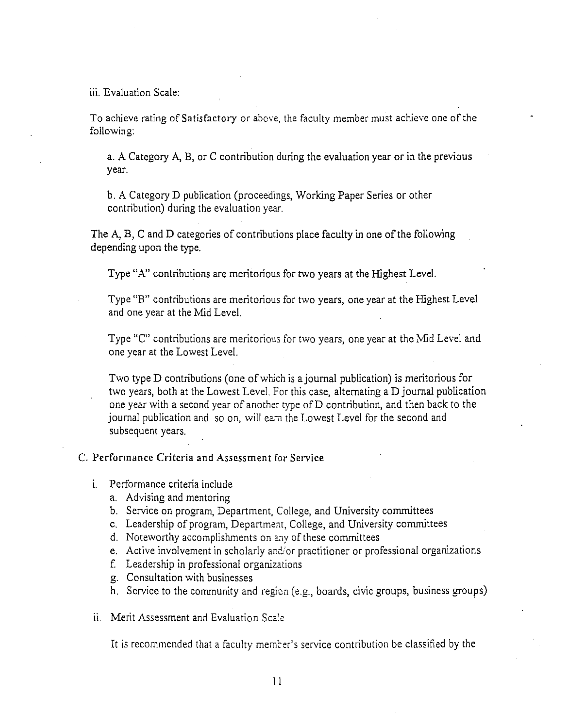iii. Evaluation Scale:

To achieve rating of Satisfactory or above, the faculty member must achieve one of the following:

a. A Category A, B, or C contribution during the evaluation year or in the previous year.

b. A Category D publication (proceedings, Working Paper Series or other contribution) during the evaluation year.

The A, B, C and D categories of contributions place faculty in one of the following depending upon the type.

Type "A" contributions are meritorious for two years at the Highest Level.

Type "B" contributions are meritorious for two years, one year at the Highest Level and one year at the Mid Level.

Type "C" contributions are meritorious for two years, one year at the Mid Level and one year at the Lowest Level.

Two type D contributions (one of which is a journal publication) is meritorious for two years, both at the Lowest Level. For this case, alternating a D journal publication one year with a second year of another type of D contribution, and then back to the journal publication and so on, will earn the Lowest Level for the second and subsequent years.

### C. Performance Criteria and Assessment for Service

- 1. Performance criteria include
	- a. Advising and mentoring
	- b. Service on program, Department, College, and University committees
	- c. Leadership of program, Department, College, and University committees
	- d. Noteworthy accomplishments on any of these committees
	- e. Active involvement in scholarly and or practitioner or professional organizations
	- f. Leadership in professional organizations
	- g. Consultation with businesses
	- h. Service to the community and region (e.g., boards, civic groups, business groups)
- ii. Merit Assessment and Evaluation Scale

It is recommended that a faculty member's service contribution be classified by the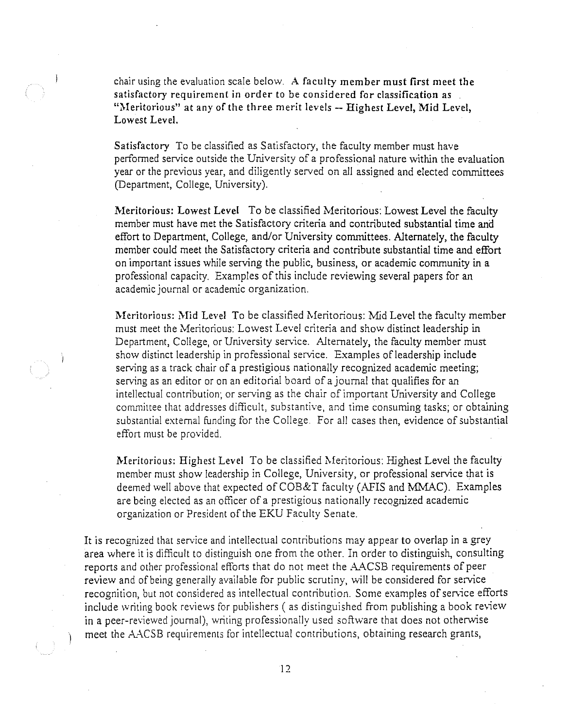chair using the evaluation scale below. A faculty member must first meet the satisfactory requirement in order to be considered for classification as "Meritorious" at any of the three merit levels -- Highest Level, Mid Level, Lowest Level.

Satisfactory To be classified as Satisfactory, the faculty member must have performed service outside the University of a professional nature within the evaluation year or the previous year, and diligently served on all assigned and elected committees (Department, College, University).

Meritorious: Lowest Level To be classified Meritorious: Lowest Level the faculty member must have met the Satisfactory criteria and contributed substantial time and effort to Department, College, and/or University committees. Alternately, the faculty member could meet the Satisfactory criteria and contribute substantial time and effort on important issues while serving the public, business, or academic community in a professional capacity. Examples of this include reviewing several papers for an academic journal or academic organization.

Meritorious: Mid Level To be classified Meritorious: Mid Level the faculty member must meet the Meritorious: Lowest Level criteria and show distinct leadership in Department, College, or University service. Alternately, the faculty member must show distinct leadership in professional service. Examples of leadership include serving as a track chair of a prestigious nationally recognized academic meeting; serving as an editor or on an editorial board of a journal that qualifies for an intellectual contribution; or serving as the chair of important University and College committee that addresses difficult, substantive, and time consuming tasks; or obtaining substantial external funding for the College. For all cases then, evidence of substantial effort must be provided.

Meritorious: Highest Level To be classified Meritorious: Highest Level the faculty member must show leadership in College, University, or professional service that is deemed well above that expected of  $COB&T$  faculty (AFIS and MMAC). Examples are being elected as an officer of a prestigious nationally recognized academic organization or President of the EKU Faculty Senate.

It is recognized that service and intellectual contributions may appear to overlap in a grey area where it is difficult to distinguish one from the other. In order to distinguish, consulting reports and other professional efforts that do not meet the AACSB requirements of peer review and of being generally available for public scrutiny, will be considered for service recognition, but not considered as intellectual contribution. Some examples of service efforts include writing book reviews for publishers (as distinguished from publishing a book review in a peer-reviewed journal), writing professionally used software that does not otherwise meet the AACSB requirements for intellectual contributions, obtaining research grants,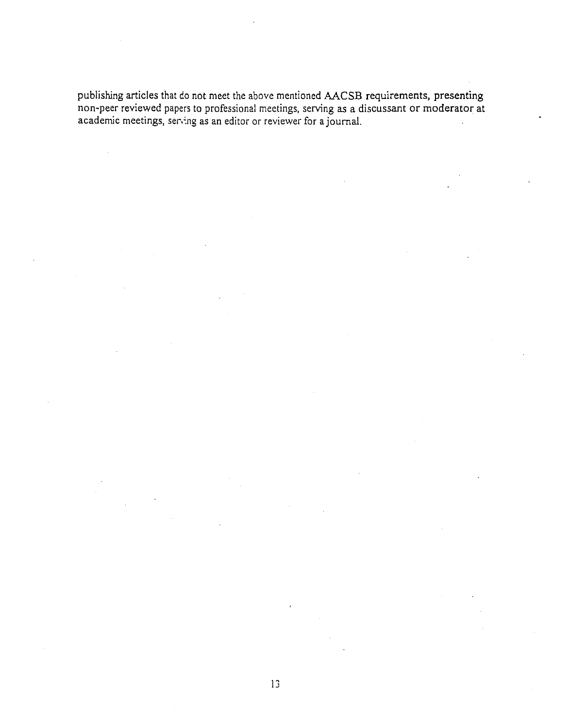publishing articles that do not meet the above mentioned AACSB requirements, presenting non-peer reviewed papers to professional meetings, serving as a discussant or moderator at academic meetings, ser,:ng as an editor or reviewer for a journal.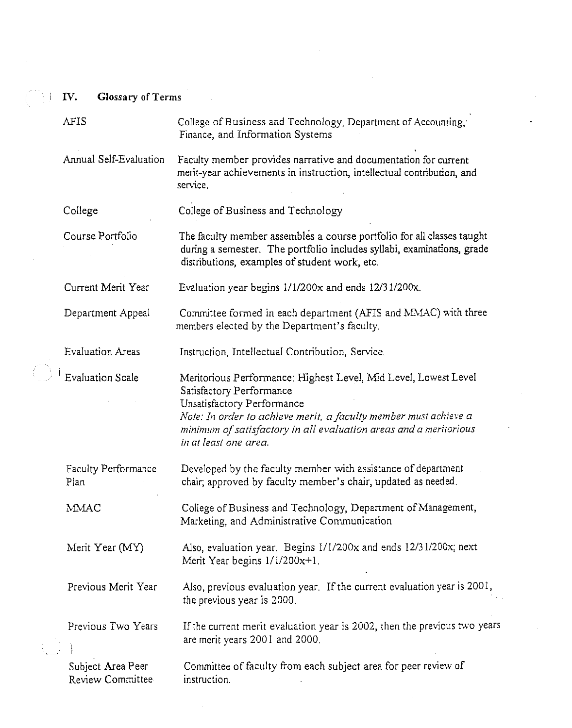IV. **Glossary** of Terms

| AFIS                                  | College of Business and Technology, Department of Accounting,<br>Finance, and Information Systems                                                                                                                                                                                           |  |  |
|---------------------------------------|---------------------------------------------------------------------------------------------------------------------------------------------------------------------------------------------------------------------------------------------------------------------------------------------|--|--|
| Annual Self-Evaluation                | Faculty member provides narrative and documentation for current<br>merit-year achievements in instruction, intellectual contribution, and<br>service.                                                                                                                                       |  |  |
| College                               | College of Business and Technology                                                                                                                                                                                                                                                          |  |  |
| Course Portfolio                      | The faculty member assembles a course portfolio for all classes taught<br>during a semester. The portfolio includes syllabi, examinations, grade<br>distributions, examples of student work, etc.                                                                                           |  |  |
| Current Merit Year                    | Evaluation year begins 1/1/200x and ends 12/31/200x.                                                                                                                                                                                                                                        |  |  |
| Department Appeal                     | Committee formed in each department (AFIS and MMAC) with three<br>members elected by the Department's faculty.                                                                                                                                                                              |  |  |
| <b>Evaluation Areas</b>               | Instruction, Intellectual Contribution, Service.                                                                                                                                                                                                                                            |  |  |
| <b>Evaluation Scale</b>               | Meritorious Performance: Highest Level, Mid Level, Lowest Level<br>Satisfactory Performance<br>Unsatisfactory Performance<br>Note: In order to achieve merit, a faculty member must achieve a<br>minimum of satisfactory in all evaluation areas and a meritorious<br>in at least one area. |  |  |
| <b>Faculty Performance</b><br>Plan    | Developed by the faculty member with assistance of department<br>chair; approved by faculty member's chair, updated as needed.                                                                                                                                                              |  |  |
| MMAC                                  | College of Business and Technology, Department of Management,<br>Marketing, and Administrative Communication                                                                                                                                                                                |  |  |
| Merit Year (MY)                       | Also, evaluation year. Begins 1/1/200x and ends 12/31/200x; next<br>Merit Year begins $1/1/200x+1$ .                                                                                                                                                                                        |  |  |
| Previous Merit Year                   | Also, previous evaluation year. If the current evaluation year is 2001,<br>the previous year is 2000.                                                                                                                                                                                       |  |  |
| Previous Two Years                    | If the current merit evaluation year is 2002, then the previous two years<br>are merit years 2001 and 2000.                                                                                                                                                                                 |  |  |
| Subject Area Peer<br>Review Committee | Committee of faculty from each subject area for peer review of<br>instruction.                                                                                                                                                                                                              |  |  |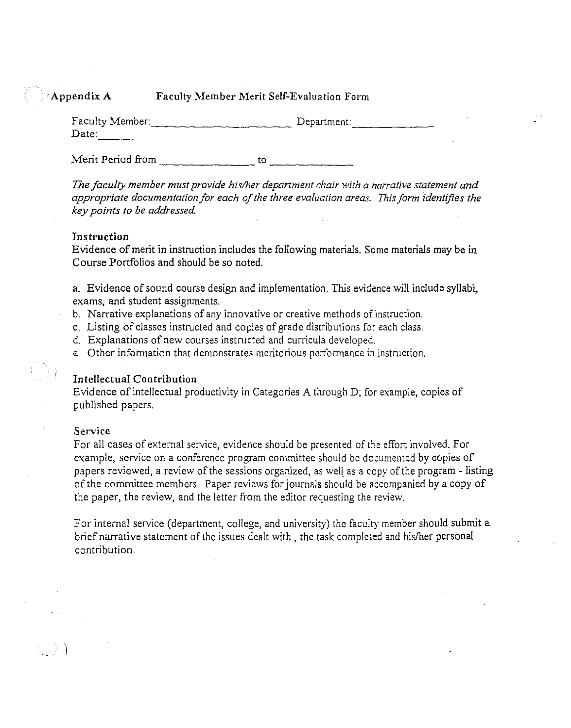# Appendix A Faculty Member Merit Self-Evaluation Form

| Faculty Member: | Department: |
|-----------------|-------------|
| Date:           |             |

 $t_0$   $t_1$ Merit Period from to to to

*The faculty member must provide his/her department chair with a narrative statement and*  appropriate documentation for each of the three evaluation areas. This form identifies the *key points to be addressed* 

### **Instruction**

Evidence of merit in instruction includes the following materials. Some materials may be in Course Portfolios and should be so noted.

a. Evidence of sound course design and implementation. This evidence will include syllabi, exams, and student assignments.

- b. Narrative explanations of any innovative or creative methods of instruction.
- c. Listing of classes instructed and copies of grade distributions for each class.
- d. Explanations of new courses instructed and curricula developed.
- e. Other information that demonstrates meritorious performance in instruction.

# **Intellectual Contribution**

Evidence of intellectual productivity in Categories A through D; for example, copies of published papers.

#### **Service**

 $\mathbf{I}$ 

For all cases of external service, evidence should be presented of the effort involved. For example, service on a conference program committee should be documented by copies of papers reviewed, a review of the sessions organized, as well as a copy of the program - listing of the committee members. Paper reviews for journals should be accompanied by a copy of the paper, the review, and the letter from the editor requesting the review.

For internal service (department, college, and university) the faculty member should submit a brief narrative statement of the issues dealt with, the task completed and his/her personal contribution.